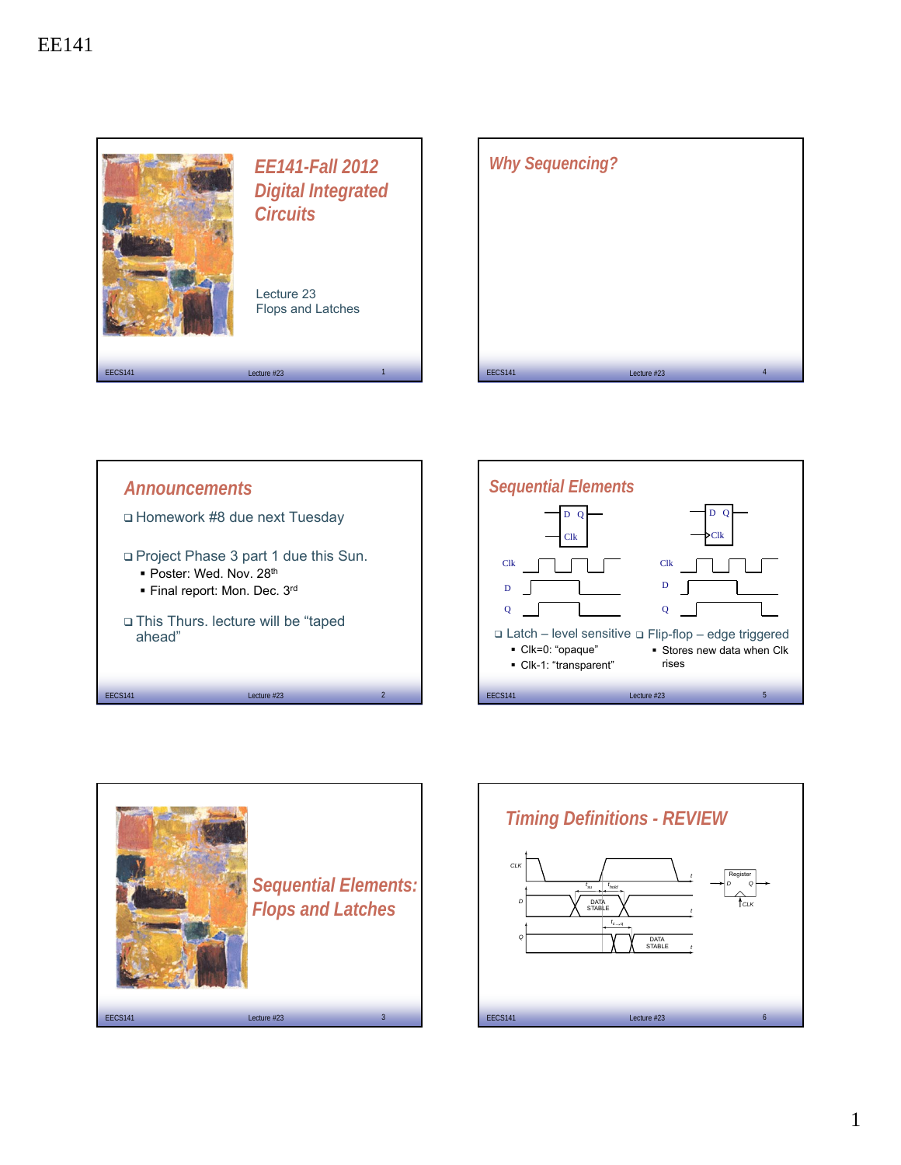









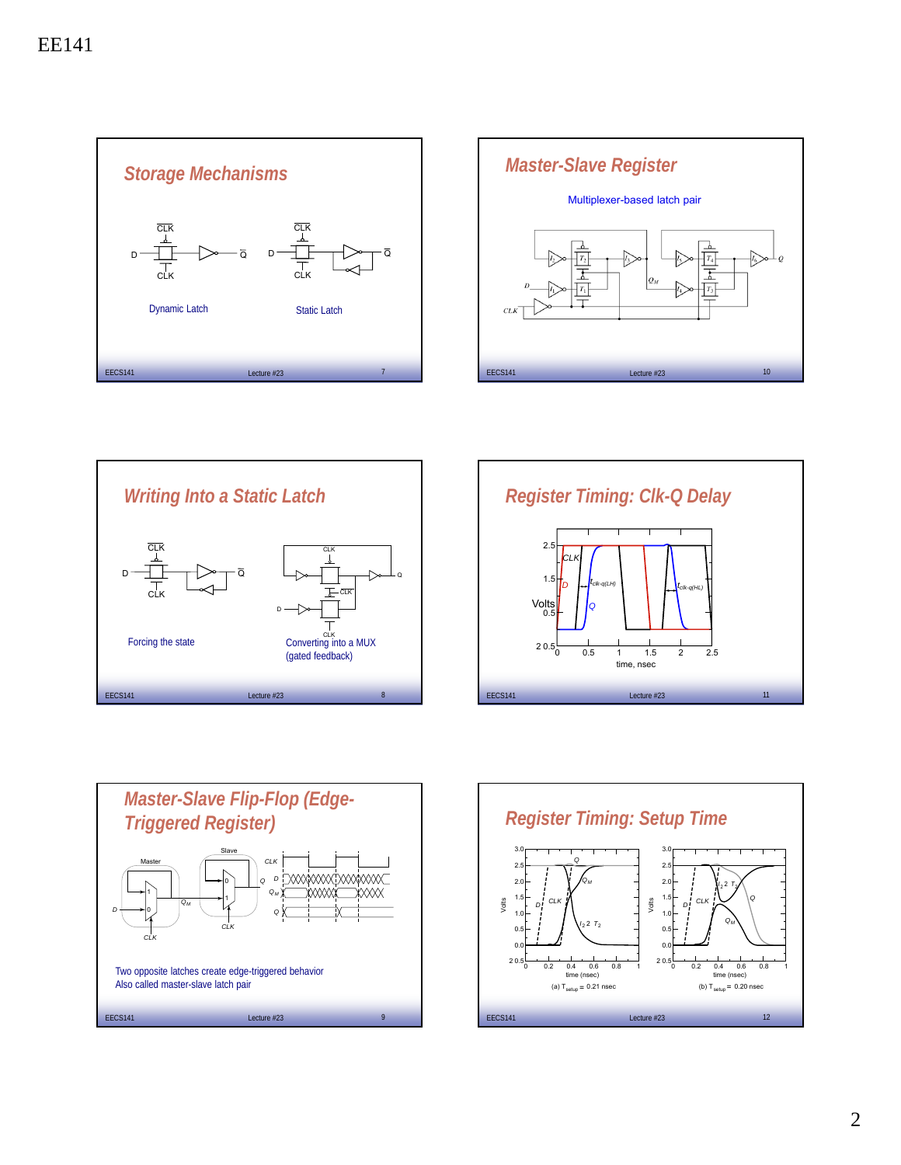









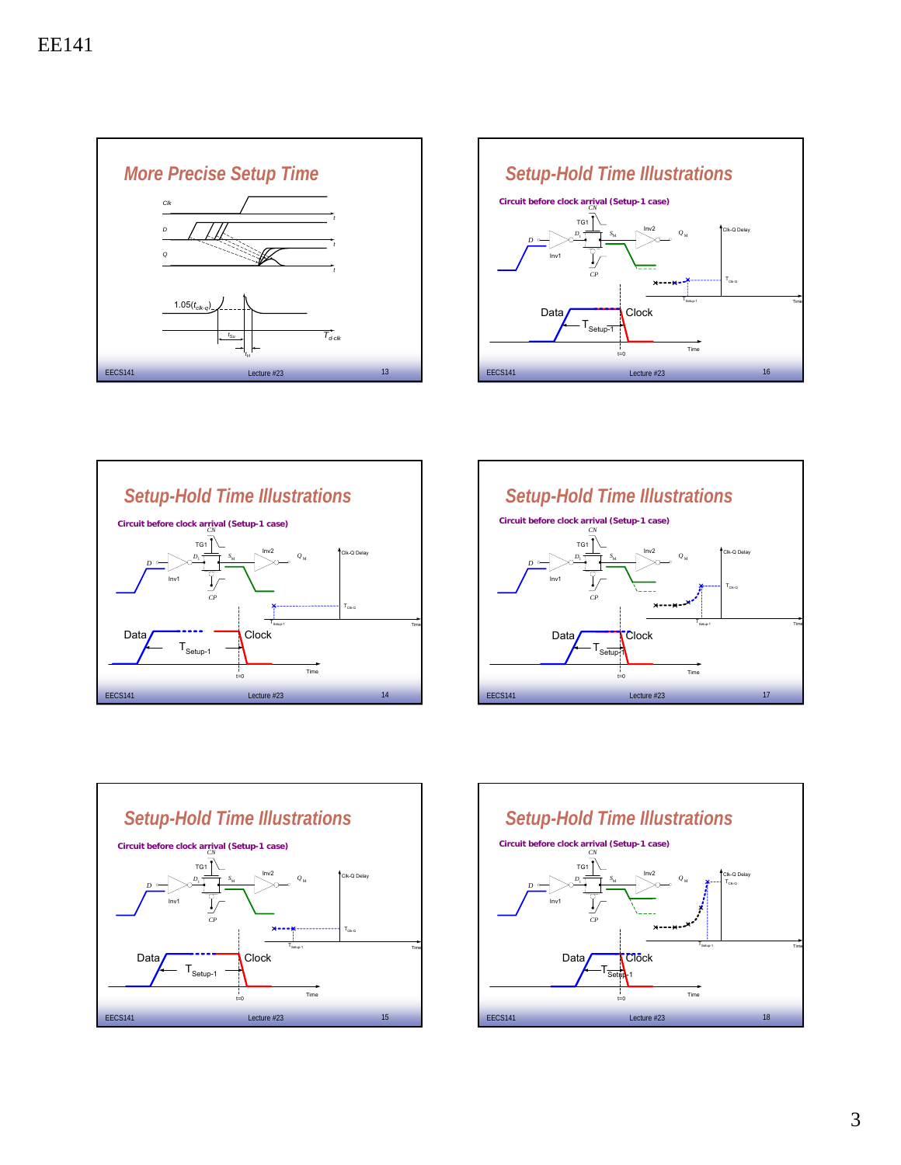









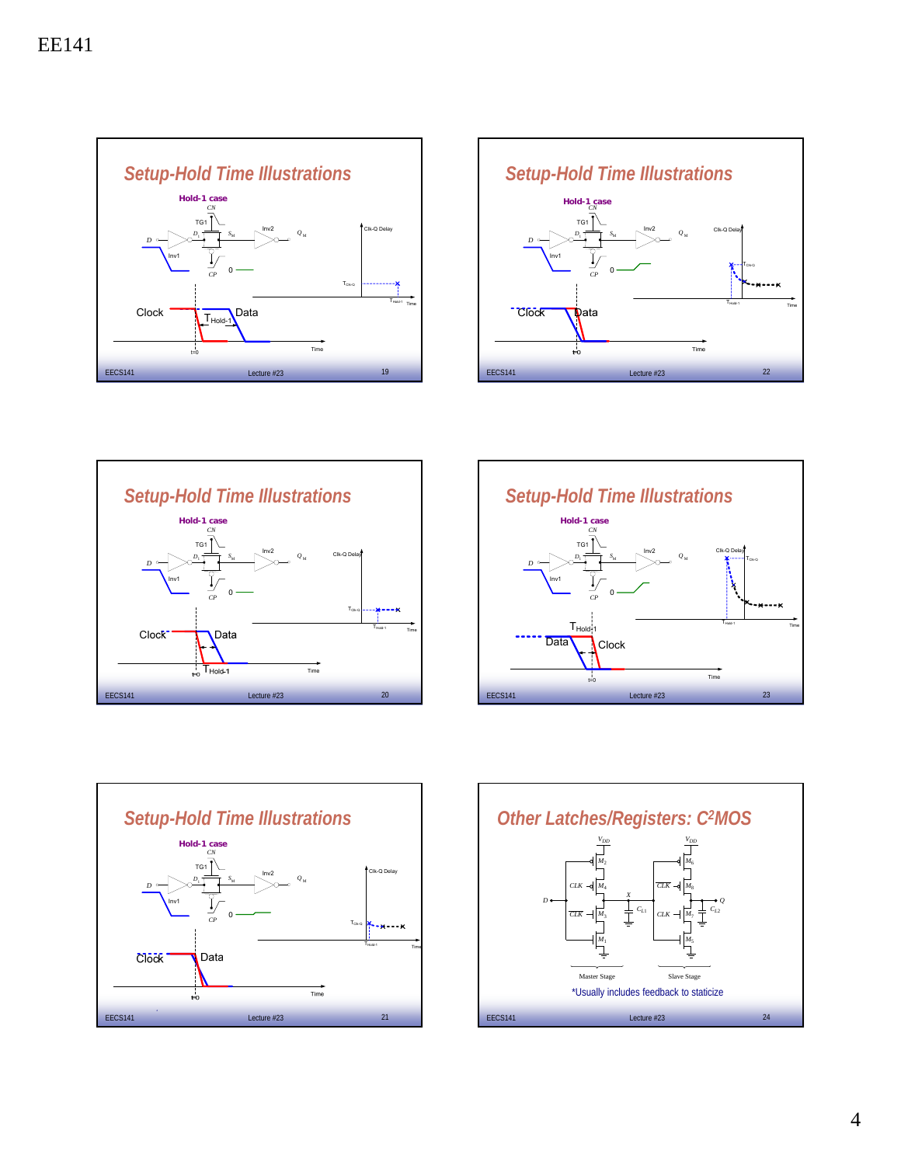